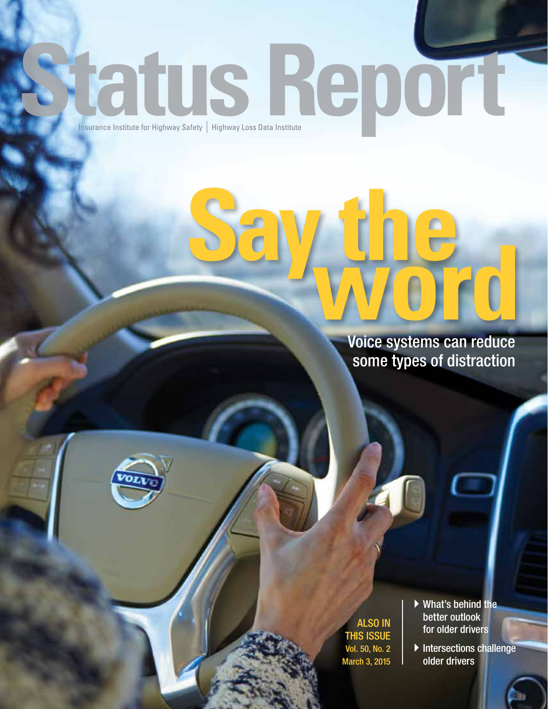# **Insurance Institute for Highway Safety**

**Say the word** Voice systems can reduce some types of distraction

> ALSO IN THIS ISSUE Vol. 50, No. 2 March 3, 2015

- $\blacktriangleright$  What's behind the better outlook for older drivers
- $\blacktriangleright$  Intersections challenge older drivers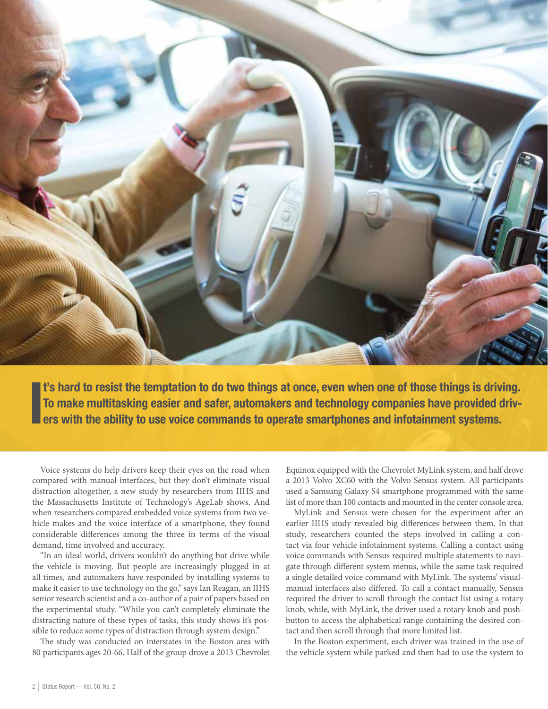

I t's hard to resist the temptation to do two things at once, even when one of those things is driving. To make multitasking easier and safer, automakers and technology companies have provided drivers with the ability to use voice commands to operate smartphones and infotainment systems.

Voice systems do help drivers keep their eyes on the road when compared with manual interfaces, but they don't eliminate visual distraction altogether, a new study by researchers from IIHS and the Massachusetts Institute of Technology's AgeLab shows. And when researchers compared embedded voice systems from two vehicle makes and the voice interface of a smartphone, they found considerable differences among the three in terms of the visual demand, time involved and accuracy.

"In an ideal world, drivers wouldn't do anything but drive while the vehicle is moving. But people are increasingly plugged in at all times, and automakers have responded by installing systems to make it easier to use technology on the go," says Ian Reagan, an IIHS senior research scientist and a co-author of a pair of papers based on the experimental study. "While you can't completely eliminate the distracting nature of these types of tasks, this study shows it's possible to reduce some types of distraction through system design."

The study was conducted on interstates in the Boston area with 80 participants ages 20-66. Half of the group drove a 2013 Chevrolet

Equinox equipped with the Chevrolet MyLink system, and half drove a 2013 Volvo XC60 with the Volvo Sensus system. All participants used a Samsung Galaxy S4 smartphone programmed with the same list of more than 100 contacts and mounted in the center console area.

MyLink and Sensus were chosen for the experiment after an earlier IIHS study revealed big differences between them. In that study, researchers counted the steps involved in calling a contact via four vehicle infotainment systems. Calling a contact using voice commands with Sensus required multiple statements to navigate through different system menus, while the same task required a single detailed voice command with MyLink. The systems' visualmanual interfaces also differed. To call a contact manually, Sensus required the driver to scroll through the contact list using a rotary knob, while, with MyLink, the driver used a rotary knob and pushbutton to access the alphabetical range containing the desired contact and then scroll through that more limited list.

In the Boston experiment, each driver was trained in the use of the vehicle system while parked and then had to use the system to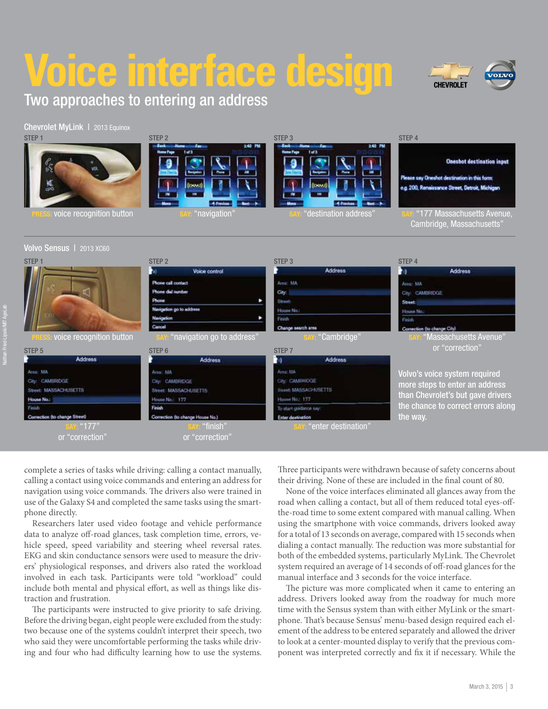## **Voice interface design**





#### Chevrolet MyLink | 2013 Equinox



#### Volvo Sensus | 2013 XC60

#### STEP 3 STEP 4 **Oneshot destination input** Please say Oneshot destination in this form e.a. 200, Renaissance Street, Detroit, Michie voice recognition button SAY: "navigation" SAY: "destination address" SAY: "177 Massachusetts Avenue,

STEP 4 Cambridge, Massachusetts"



complete a series of tasks while driving: calling a contact manually, calling a contact using voice commands and entering an address for navigation using voice commands. The drivers also were trained in use of the Galaxy S4 and completed the same tasks using the smartphone directly.

Researchers later used video footage and vehicle performance data to analyze off-road glances, task completion time, errors, vehicle speed, speed variability and steering wheel reversal rates. EKG and skin conductance sensors were used to measure the drivers' physiological responses, and drivers also rated the workload involved in each task. Participants were told "workload" could include both mental and physical effort, as well as things like distraction and frustration.

The participants were instructed to give priority to safe driving. Before the driving began, eight people were excluded from the study: two because one of the systems couldn't interpret their speech, two who said they were uncomfortable performing the tasks while driving and four who had difficulty learning how to use the systems.

Three participants were withdrawn because of safety concerns about their driving. None of these are included in the final count of 80.

None of the voice interfaces eliminated all glances away from the road when calling a contact, but all of them reduced total eyes-offthe-road time to some extent compared with manual calling. When using the smartphone with voice commands, drivers looked away for a total of 13 seconds on average, compared with 15 seconds when dialing a contact manually. The reduction was more substantial for both of the embedded systems, particularly MyLink. The Chevrolet system required an average of 14 seconds of off-road glances for the manual interface and 3 seconds for the voice interface.

The picture was more complicated when it came to entering an address. Drivers looked away from the roadway for much more time with the Sensus system than with either MyLink or the smartphone. That's because Sensus' menu-based design required each element of the address to be entered separately and allowed the driver to look at a center-mounted display to verify that the previous component was interpreted correctly and fix it if necessary. While the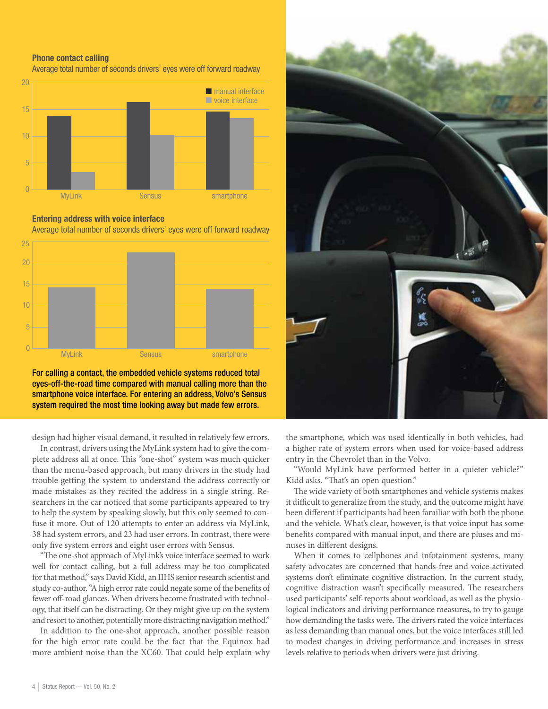#### Phone contact calling

Average total number of seconds drivers' eyes were off forward roadway



#### Entering address with voice interface

Average total number of seconds drivers' eyes were off forward roadway



For calling a contact, the embedded vehicle systems reduced total eyes-off-the-road time compared with manual calling more than the smartphone voice interface. For entering an address, Volvo's Sensus system required the most time looking away but made few errors.

design had higher visual demand, it resulted in relatively few errors.

In contrast, drivers using the MyLink system had to give the complete address all at once. This "one-shot" system was much quicker than the menu-based approach, but many drivers in the study had trouble getting the system to understand the address correctly or made mistakes as they recited the address in a single string. Researchers in the car noticed that some participants appeared to try to help the system by speaking slowly, but this only seemed to confuse it more. Out of 120 attempts to enter an address via MyLink, 38 had system errors, and 23 had user errors. In contrast, there were only five system errors and eight user errors with Sensus.

"The one-shot approach of MyLink's voice interface seemed to work well for contact calling, but a full address may be too complicated for that method," says David Kidd, an IIHS senior research scientist and study co-author. "A high error rate could negate some of the benefits of fewer off-road glances. When drivers become frustrated with technology, that itself can be distracting. Or they might give up on the system and resort to another, potentially more distracting navigation method."

In addition to the one-shot approach, another possible reason for the high error rate could be the fact that the Equinox had more ambient noise than the XC60. That could help explain why



the smartphone, which was used identically in both vehicles, had a higher rate of system errors when used for voice-based address entry in the Chevrolet than in the Volvo.

"Would MyLink have performed better in a quieter vehicle?" Kidd asks. "That's an open question."

The wide variety of both smartphones and vehicle systems makes it difficult to generalize from the study, and the outcome might have been different if participants had been familiar with both the phone and the vehicle. What's clear, however, is that voice input has some benefits compared with manual input, and there are pluses and minuses in different designs.

When it comes to cellphones and infotainment systems, many safety advocates are concerned that hands-free and voice-activated systems don't eliminate cognitive distraction. In the current study, cognitive distraction wasn't specifically measured. The researchers used participants' self-reports about workload, as well as the physiological indicators and driving performance measures, to try to gauge how demanding the tasks were. The drivers rated the voice interfaces as less demanding than manual ones, but the voice interfaces still led to modest changes in driving performance and increases in stress levels relative to periods when drivers were just driving.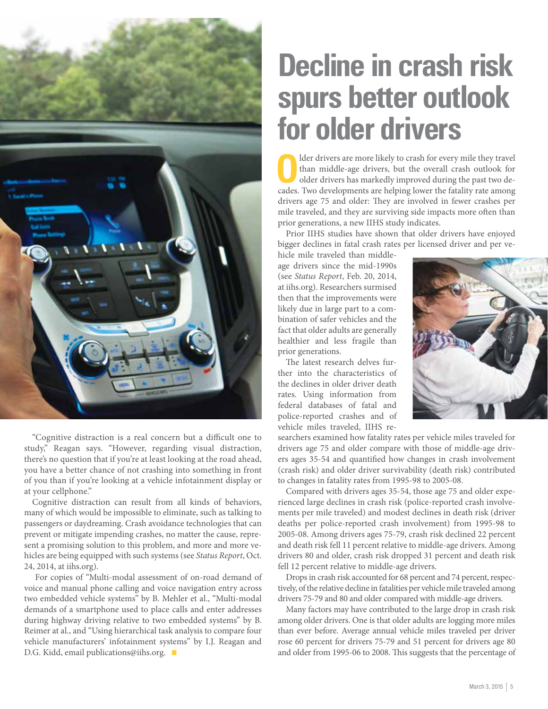

"Cognitive distraction is a real concern but a difficult one to study," Reagan says. "However, regarding visual distraction, there's no question that if you're at least looking at the road ahead, you have a better chance of not crashing into something in front of you than if you're looking at a vehicle infotainment display or at your cellphone."

Cognitive distraction can result from all kinds of behaviors, many of which would be impossible to eliminate, such as talking to passengers or daydreaming. Crash avoidance technologies that can prevent or mitigate impending crashes, no matter the cause, represent a promising solution to this problem, and more and more vehicles are being equipped with such systems (see *Status Report*, Oct. 24, 2014, at iihs.org).

 For copies of "Multi-modal assessment of on-road demand of voice and manual phone calling and voice navigation entry across two embedded vehicle systems" by B. Mehler et al., "Multi-modal demands of a smartphone used to place calls and enter addresses during highway driving relative to two embedded systems" by B. Reimer at al., and "Using hierarchical task analysis to compare four vehicle manufacturers' infotainment systems" by I.J. Reagan and D.G. Kidd, email publications@iihs.org.  $\blacksquare$ 

### **Decline in crash risk spurs better outlook for older drivers**

Older drivers are more likely to crash for every mile they travel<br>than middle-age drivers, but the overall crash outlook for<br>older drivers has markedly improved during the past two dethan middle-age drivers, but the overall crash outlook for older drivers has markedly improved during the past two decades. Two developments are helping lower the fatality rate among drivers age 75 and older: They are involved in fewer crashes per mile traveled, and they are surviving side impacts more often than prior generations, a new IIHS study indicates.

Prior IIHS studies have shown that older drivers have enjoyed bigger declines in fatal crash rates per licensed driver and per ve-

hicle mile traveled than middleage drivers since the mid-1990s (see *Status Report*, Feb. 20, 2014, at iihs.org). Researchers surmised then that the improvements were likely due in large part to a combination of safer vehicles and the fact that older adults are generally healthier and less fragile than prior generations.

The latest research delves further into the characteristics of the declines in older driver death rates. Using information from federal databases of fatal and police-reported crashes and of vehicle miles traveled, IIHS re-



searchers examined how fatality rates per vehicle miles traveled for drivers age 75 and older compare with those of middle-age drivers ages 35-54 and quantified how changes in crash involvement (crash risk) and older driver survivability (death risk) contributed to changes in fatality rates from 1995-98 to 2005-08.

Compared with drivers ages 35-54, those age 75 and older experienced large declines in crash risk (police-reported crash involvements per mile traveled) and modest declines in death risk (driver deaths per police-reported crash involvement) from 1995-98 to 2005-08. Among drivers ages 75-79, crash risk declined 22 percent and death risk fell 11 percent relative to middle-age drivers. Among drivers 80 and older, crash risk dropped 31 percent and death risk fell 12 percent relative to middle-age drivers.

Drops in crash risk accounted for 68 percent and 74 percent, respectively, of the relative decline in fatalities per vehicle mile traveled among drivers 75-79 and 80 and older compared with middle-age drivers.

Many factors may have contributed to the large drop in crash risk among older drivers. One is that older adults are logging more miles than ever before. Average annual vehicle miles traveled per driver rose 60 percent for drivers 75-79 and 51 percent for drivers age 80 and older from 1995-06 to 2008. This suggests that the percentage of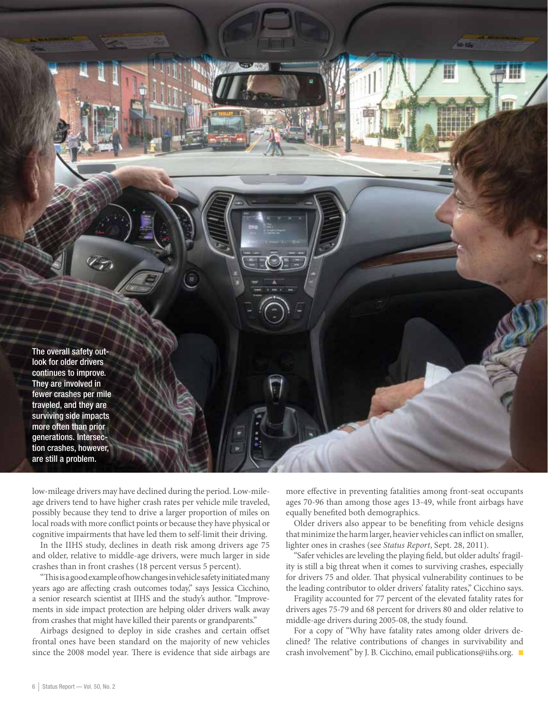

low-mileage drivers may have declined during the period. Low-mileage drivers tend to have higher crash rates per vehicle mile traveled, possibly because they tend to drive a larger proportion of miles on local roads with more conflict points or because they have physical or cognitive impairments that have led them to self-limit their driving.

In the IIHS study, declines in death risk among drivers age 75 and older, relative to middle-age drivers, were much larger in side crashes than in front crashes (18 percent versus 5 percent).

"This is a good example of how changes in vehicle safety initiated many years ago are affecting crash outcomes today," says Jessica Cicchino, a senior research scientist at IIHS and the study's author. "Improvements in side impact protection are helping older drivers walk away from crashes that might have killed their parents or grandparents."

Airbags designed to deploy in side crashes and certain offset frontal ones have been standard on the majority of new vehicles since the 2008 model year. There is evidence that side airbags are more effective in preventing fatalities among front-seat occupants ages 70-96 than among those ages 13-49, while front airbags have equally benefited both demographics.

Older drivers also appear to be benefiting from vehicle designs that minimize the harm larger, heavier vehicles can inflict on smaller, lighter ones in crashes (see *Status Report*, Sept. 28, 2011).

"Safer vehicles are leveling the playing field, but older adults' fragility is still a big threat when it comes to surviving crashes, especially for drivers 75 and older. That physical vulnerability continues to be the leading contributor to older drivers' fatality rates," Cicchino says.

Fragility accounted for 77 percent of the elevated fatality rates for drivers ages 75-79 and 68 percent for drivers 80 and older relative to middle-age drivers during 2005-08, the study found.

For a copy of "Why have fatality rates among older drivers declined? The relative contributions of changes in survivability and crash involvement" by J. B. Cicchino, email publications@iihs.org.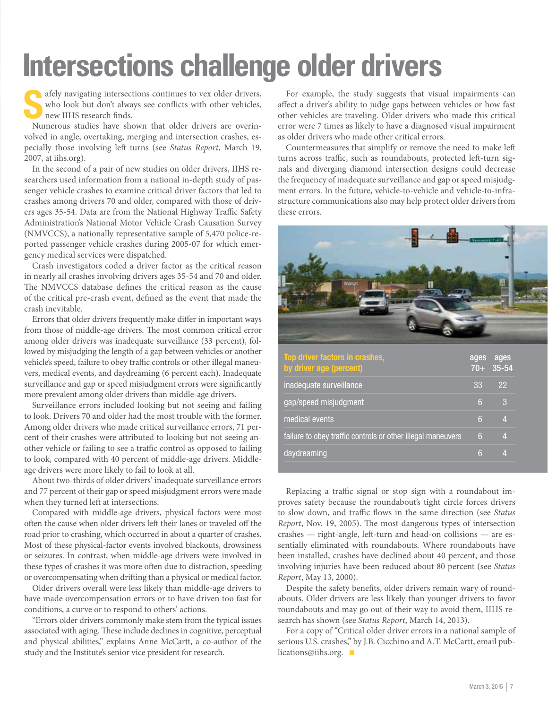## **Intersections challenge older drivers**

 $\bigcap$  afely navigating intersections continues to vex older drivers, who look but don't always see conflicts with other vehicles, new IIHS research finds.

Numerous studies have shown that older drivers are overinvolved in angle, overtaking, merging and intersection crashes, especially those involving left turns (see *Status Report*, March 19, 2007, at iihs.org).

In the second of a pair of new studies on older drivers, IIHS researchers used information from a national in-depth study of passenger vehicle crashes to examine critical driver factors that led to crashes among drivers 70 and older, compared with those of drivers ages 35-54. Data are from the National Highway Traffic Safety Administration's National Motor Vehicle Crash Causation Survey (NMVCCS), a nationally representative sample of 5,470 police-reported passenger vehicle crashes during 2005-07 for which emergency medical services were dispatched.

Crash investigators coded a driver factor as the critical reason in nearly all crashes involving drivers ages 35-54 and 70 and older. The NMVCCS database defines the critical reason as the cause of the critical pre-crash event, defined as the event that made the crash inevitable.

Errors that older drivers frequently make differ in important ways from those of middle-age drivers. The most common critical error among older drivers was inadequate surveillance (33 percent), followed by misjudging the length of a gap between vehicles or another vehicle's speed, failure to obey traffic controls or other illegal maneuvers, medical events, and daydreaming (6 percent each). Inadequate surveillance and gap or speed misjudgment errors were significantly more prevalent among older drivers than middle-age drivers.

Surveillance errors included looking but not seeing and failing to look. Drivers 70 and older had the most trouble with the former. Among older drivers who made critical surveillance errors, 71 percent of their crashes were attributed to looking but not seeing another vehicle or failing to see a traffic control as opposed to failing to look, compared with 40 percent of middle-age drivers. Middleage drivers were more likely to fail to look at all.

About two-thirds of older drivers' inadequate surveillance errors and 77 percent of their gap or speed misjudgment errors were made when they turned left at intersections.

Compared with middle-age drivers, physical factors were most often the cause when older drivers left their lanes or traveled off the road prior to crashing, which occurred in about a quarter of crashes. Most of these physical-factor events involved blackouts, drowsiness or seizures. In contrast, when middle-age drivers were involved in these types of crashes it was more often due to distraction, speeding or overcompensating when drifting than a physical or medical factor.

Older drivers overall were less likely than middle-age drivers to have made overcompensation errors or to have driven too fast for conditions, a curve or to respond to others' actions.

"Errors older drivers commonly make stem from the typical issues associated with aging. These include declines in cognitive, perceptual and physical abilities," explains Anne McCartt, a co-author of the study and the Institute's senior vice president for research.

For example, the study suggests that visual impairments can affect a driver's ability to judge gaps between vehicles or how fast other vehicles are traveling. Older drivers who made this critical error were 7 times as likely to have a diagnosed visual impairment as older drivers who made other critical errors.

Countermeasures that simplify or remove the need to make left turns across traffic, such as roundabouts, protected left-turn signals and diverging diamond intersection designs could decrease the frequency of inadequate surveillance and gap or speed misjudgment errors. In the future, vehicle-to-vehicle and vehicle-to-infrastructure communications also may help protect older drivers from these errors.



| Top driver factors in crashes,<br>by driver age (percent)   | ages<br>$70+$ | ages<br>$35 - 54$ |
|-------------------------------------------------------------|---------------|-------------------|
| inadequate surveillance                                     | 33            | 22                |
| gap/speed misjudgment                                       | 6             | З                 |
| medical events                                              | 6             | 4                 |
| failure to obey traffic controls or other illegal maneuvers | 6             | Δ                 |
| daydreaming                                                 | 6             | л                 |

Replacing a traffic signal or stop sign with a roundabout improves safety because the roundabout's tight circle forces drivers to slow down, and traffic flows in the same direction (see *Status Report*, Nov. 19, 2005). The most dangerous types of intersection crashes — right-angle, left-turn and head-on collisions — are essentially eliminated with roundabouts. Where roundabouts have been installed, crashes have declined about 40 percent, and those involving injuries have been reduced about 80 percent (see *Status Report*, May 13, 2000).

Despite the safety benefits, older drivers remain wary of roundabouts. Older drivers are less likely than younger drivers to favor roundabouts and may go out of their way to avoid them, IIHS research has shown (see *Status Report*, March 14, 2013).

For a copy of "Critical older driver errors in a national sample of serious U.S. crashes," by J.B. Cicchino and A.T. McCartt, email publications@iihs.org.  $\blacksquare$